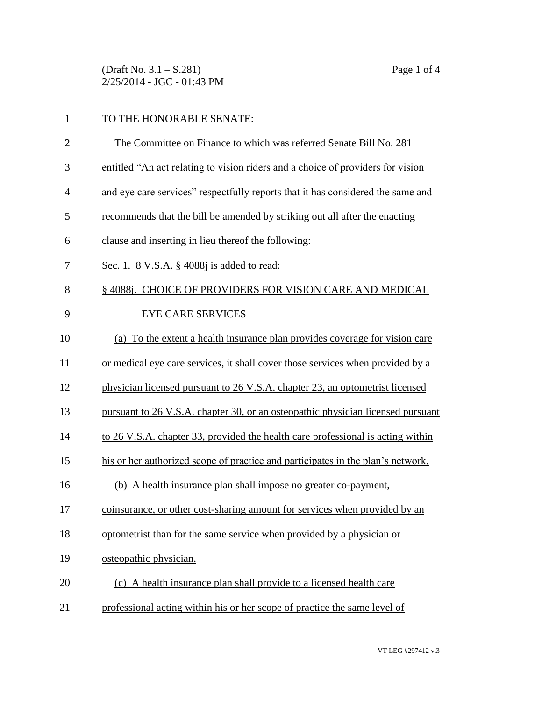(Draft No. 3.1 – S.281) Page 1 of 4 2/25/2014 - JGC - 01:43 PM

## TO THE HONORABLE SENATE:

| $\overline{2}$ | The Committee on Finance to which was referred Senate Bill No. 281              |
|----------------|---------------------------------------------------------------------------------|
| 3              | entitled "An act relating to vision riders and a choice of providers for vision |
| 4              | and eye care services" respectfully reports that it has considered the same and |
| 5              | recommends that the bill be amended by striking out all after the enacting      |
| 6              | clause and inserting in lieu thereof the following:                             |
| 7              | Sec. 1. 8 V.S.A. § 4088j is added to read:                                      |
| 8              | § 4088j. CHOICE OF PROVIDERS FOR VISION CARE AND MEDICAL                        |
| 9              | <b>EYE CARE SERVICES</b>                                                        |
| 10             | (a) To the extent a health insurance plan provides coverage for vision care     |
| 11             | or medical eye care services, it shall cover those services when provided by a  |
| 12             | physician licensed pursuant to 26 V.S.A. chapter 23, an optometrist licensed    |
| 13             | pursuant to 26 V.S.A. chapter 30, or an osteopathic physician licensed pursuant |
| 14             | to 26 V.S.A. chapter 33, provided the health care professional is acting within |
| 15             | his or her authorized scope of practice and participates in the plan's network. |
| 16             | (b) A health insurance plan shall impose no greater co-payment,                 |
| 17             | coinsurance, or other cost-sharing amount for services when provided by an      |
| 18             | optometrist than for the same service when provided by a physician or           |
| 19             | osteopathic physician.                                                          |
| 20             | (c) A health insurance plan shall provide to a licensed health care             |
| 21             | professional acting within his or her scope of practice the same level of       |
|                |                                                                                 |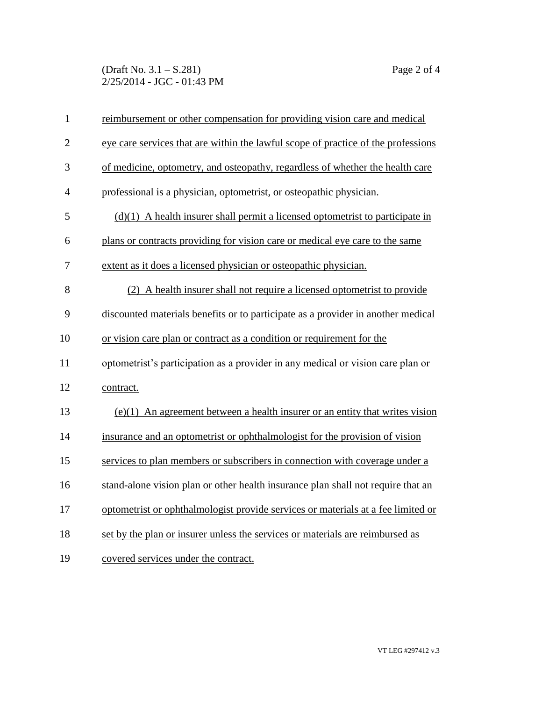## (Draft No. 3.1 – S.281) Page 2 of 4 2/25/2014 - JGC - 01:43 PM

| $\mathbf{1}$   | reimbursement or other compensation for providing vision care and medical         |
|----------------|-----------------------------------------------------------------------------------|
| $\overline{2}$ | eye care services that are within the lawful scope of practice of the professions |
| 3              | of medicine, optometry, and osteopathy, regardless of whether the health care     |
| 4              | professional is a physician, optometrist, or osteopathic physician.               |
| 5              | $(d)(1)$ A health insurer shall permit a licensed optometrist to participate in   |
| 6              | plans or contracts providing for vision care or medical eye care to the same      |
| 7              | extent as it does a licensed physician or osteopathic physician.                  |
| 8              | (2) A health insurer shall not require a licensed optometrist to provide          |
| 9              | discounted materials benefits or to participate as a provider in another medical  |
| 10             | or vision care plan or contract as a condition or requirement for the             |
| 11             | optometrist's participation as a provider in any medical or vision care plan or   |
| 12             | contract.                                                                         |
| 13             | $(e)(1)$ An agreement between a health insurer or an entity that writes vision    |
| 14             | insurance and an optometrist or ophthalmologist for the provision of vision       |
| 15             | services to plan members or subscribers in connection with coverage under a       |
| 16             | stand-alone vision plan or other health insurance plan shall not require that an  |
| 17             | optometrist or ophthalmologist provide services or materials at a fee limited or  |
| 18             | set by the plan or insurer unless the services or materials are reimbursed as     |
| 19             | covered services under the contract.                                              |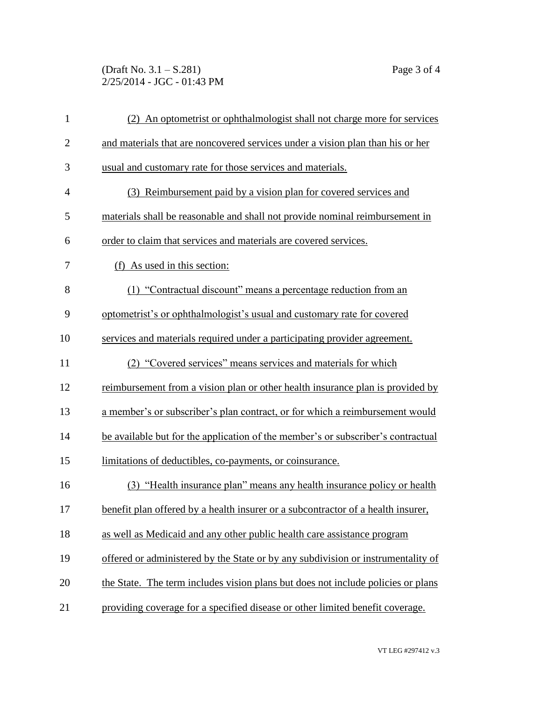(Draft No. 3.1 – S.281) Page 3 of 4 2/25/2014 - JGC - 01:43 PM

| $\mathbf{1}$   | (2) An optometrist or ophthalmologist shall not charge more for services         |
|----------------|----------------------------------------------------------------------------------|
| $\overline{2}$ | and materials that are noncovered services under a vision plan than his or her   |
| 3              | usual and customary rate for those services and materials.                       |
| $\overline{4}$ | (3) Reimbursement paid by a vision plan for covered services and                 |
| 5              | materials shall be reasonable and shall not provide nominal reimbursement in     |
| 6              | order to claim that services and materials are covered services.                 |
| 7              | (f) As used in this section:                                                     |
| 8              | (1) "Contractual discount" means a percentage reduction from an                  |
| 9              | optometrist's or ophthalmologist's usual and customary rate for covered          |
| 10             | services and materials required under a participating provider agreement.        |
| 11             | (2) "Covered services" means services and materials for which                    |
| 12             | reimbursement from a vision plan or other health insurance plan is provided by   |
| 13             | a member's or subscriber's plan contract, or for which a reimbursement would     |
| 14             | be available but for the application of the member's or subscriber's contractual |
| 15             | limitations of deductibles, co-payments, or coinsurance.                         |
| 16             | (3) "Health insurance plan" means any health insurance policy or health          |
| 17             | benefit plan offered by a health insurer or a subcontractor of a health insurer, |
| 18             | as well as Medicaid and any other public health care assistance program          |
| 19             | offered or administered by the State or by any subdivision or instrumentality of |
| 20             | the State. The term includes vision plans but does not include policies or plans |
| 21             | providing coverage for a specified disease or other limited benefit coverage.    |